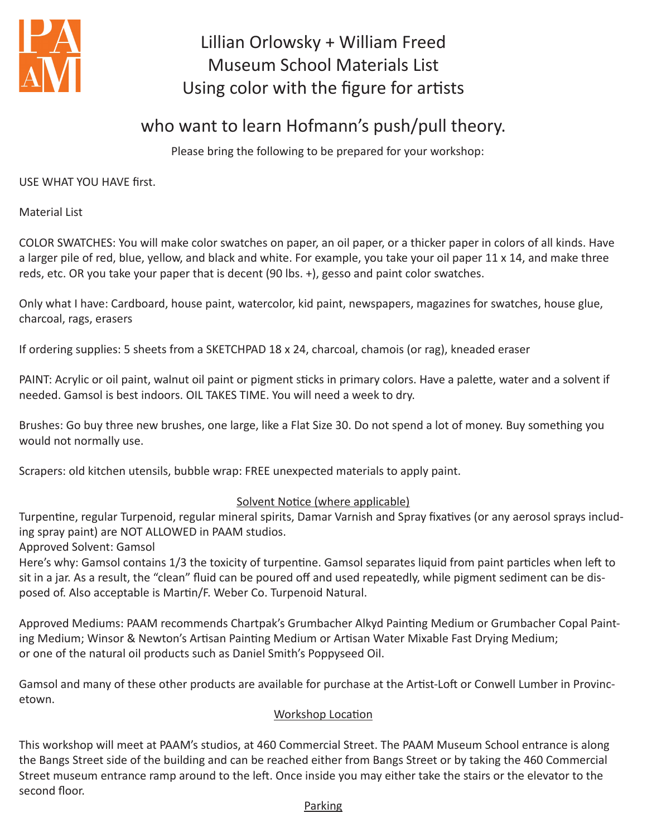

## Lillian Orlowsky + William Freed Museum School Materials List Using color with the figure for artists

## who want to learn Hofmann's push/pull theory.

Please bring the following to be prepared for your workshop:

USE WHAT YOU HAVE first.

Material List

COLOR SWATCHES: You will make color swatches on paper, an oil paper, or a thicker paper in colors of all kinds. Have a larger pile of red, blue, yellow, and black and white. For example, you take your oil paper 11 x 14, and make three reds, etc. OR you take your paper that is decent (90 lbs. +), gesso and paint color swatches.

Only what I have: Cardboard, house paint, watercolor, kid paint, newspapers, magazines for swatches, house glue, charcoal, rags, erasers

If ordering supplies: 5 sheets from a SKETCHPAD 18 x 24, charcoal, chamois (or rag), kneaded eraser

PAINT: Acrylic or oil paint, walnut oil paint or pigment sticks in primary colors. Have a palette, water and a solvent if needed. Gamsol is best indoors. OIL TAKES TIME. You will need a week to dry.

Brushes: Go buy three new brushes, one large, like a Flat Size 30. Do not spend a lot of money. Buy something you would not normally use.

Scrapers: old kitchen utensils, bubble wrap: FREE unexpected materials to apply paint.

## Solvent Notice (where applicable)

Turpentine, regular Turpenoid, regular mineral spirits, Damar Varnish and Spray fixatives (or any aerosol sprays including spray paint) are NOT ALLOWED in PAAM studios.

Approved Solvent: Gamsol

Here's why: Gamsol contains 1/3 the toxicity of turpentine. Gamsol separates liquid from paint particles when left to sit in a jar. As a result, the "clean" fluid can be poured off and used repeatedly, while pigment sediment can be disposed of. Also acceptable is Martin/F. Weber Co. Turpenoid Natural.

Approved Mediums: PAAM recommends Chartpak's Grumbacher Alkyd Painting Medium or Grumbacher Copal Painting Medium; Winsor & Newton's Artisan Painting Medium or Artisan Water Mixable Fast Drying Medium; or one of the natural oil products such as Daniel Smith's Poppyseed Oil.

Gamsol and many of these other products are available for purchase at the Artist-Loft or Conwell Lumber in Provincetown.

## Workshop Location

This workshop will meet at PAAM's studios, at 460 Commercial Street. The PAAM Museum School entrance is along the Bangs Street side of the building and can be reached either from Bangs Street or by taking the 460 Commercial Street museum entrance ramp around to the left. Once inside you may either take the stairs or the elevator to the second floor.

Parking